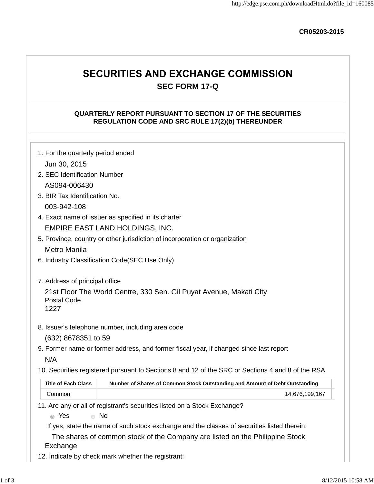**CR05203-2015**

# **SECURITIES AND EXCHANGE COMMISSION SEC FORM 17-Q**

# **QUARTERLY REPORT PURSUANT TO SECTION 17 OF THE SECURITIES REGULATION CODE AND SRC RULE 17(2)(b) THEREUNDER**

| 1. For the quarterly period ended                            |                                                                                                   |  |  |  |  |  |  |  |  |
|--------------------------------------------------------------|---------------------------------------------------------------------------------------------------|--|--|--|--|--|--|--|--|
| Jun 30, 2015                                                 |                                                                                                   |  |  |  |  |  |  |  |  |
|                                                              | 2. SEC Identification Number                                                                      |  |  |  |  |  |  |  |  |
| AS094-006430                                                 |                                                                                                   |  |  |  |  |  |  |  |  |
| 3. BIR Tax Identification No.                                |                                                                                                   |  |  |  |  |  |  |  |  |
| 003-942-108                                                  |                                                                                                   |  |  |  |  |  |  |  |  |
|                                                              | 4. Exact name of issuer as specified in its charter                                               |  |  |  |  |  |  |  |  |
|                                                              | EMPIRE EAST LAND HOLDINGS, INC.                                                                   |  |  |  |  |  |  |  |  |
|                                                              | 5. Province, country or other jurisdiction of incorporation or organization                       |  |  |  |  |  |  |  |  |
| Metro Manila                                                 |                                                                                                   |  |  |  |  |  |  |  |  |
|                                                              | 6. Industry Classification Code(SEC Use Only)                                                     |  |  |  |  |  |  |  |  |
| 7. Address of principal office<br><b>Postal Code</b><br>1227 | 21st Floor The World Centre, 330 Sen. Gil Puyat Avenue, Makati City                               |  |  |  |  |  |  |  |  |
|                                                              | 8. Issuer's telephone number, including area code                                                 |  |  |  |  |  |  |  |  |
| (632) 8678351 to 59                                          |                                                                                                   |  |  |  |  |  |  |  |  |
|                                                              | 9. Former name or former address, and former fiscal year, if changed since last report            |  |  |  |  |  |  |  |  |
| N/A                                                          |                                                                                                   |  |  |  |  |  |  |  |  |
|                                                              | 10. Securities registered pursuant to Sections 8 and 12 of the SRC or Sections 4 and 8 of the RSA |  |  |  |  |  |  |  |  |
| <b>Title of Each Class</b>                                   | Number of Shares of Common Stock Outstanding and Amount of Debt Outstanding                       |  |  |  |  |  |  |  |  |
| Common                                                       | 14,676,199,167                                                                                    |  |  |  |  |  |  |  |  |
|                                                              | 11. Are any or all of registrant's securities listed on a Stock Exchange?                         |  |  |  |  |  |  |  |  |
| @ Yes                                                        | $\bullet$ No                                                                                      |  |  |  |  |  |  |  |  |
|                                                              | If yes, state the name of such stock exchange and the classes of securities listed therein:       |  |  |  |  |  |  |  |  |
| Exchange                                                     | The shares of common stock of the Company are listed on the Philippine Stock                      |  |  |  |  |  |  |  |  |

12. Indicate by check mark whether the registrant: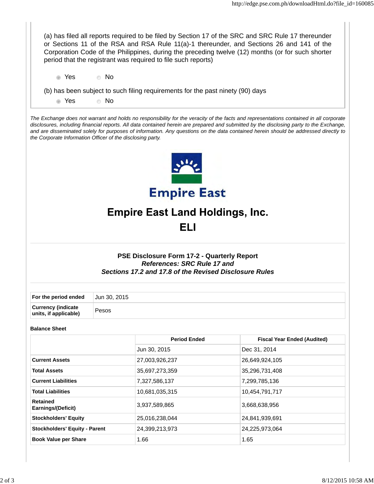(a) has filed all reports required to be filed by Section 17 of the SRC and SRC Rule 17 thereunder or Sections 11 of the RSA and RSA Rule 11(a)-1 thereunder, and Sections 26 and 141 of the Corporation Code of the Philippines, during the preceding twelve (12) months (or for such shorter period that the registrant was required to file such reports)

Yes No

(b) has been subject to such filing requirements for the past ninety (90) days

Yes No

*The Exchange does not warrant and holds no responsibility for the veracity of the facts and representations contained in all corporate disclosures, including financial reports. All data contained herein are prepared and submitted by the disclosing party to the Exchange, and are disseminated solely for purposes of information. Any questions on the data contained herein should be addressed directly to the Corporate Information Officer of the disclosing party.*



# **Empire East Land Holdings, Inc.**

**ELI** 

# **PSE Disclosure Form 17-2 - Quarterly Report** *References: SRC Rule 17 and Sections 17.2 and 17.8 of the Revised Disclosure Rules*

| For the period ended                               | Jun 30, 2015 |
|----------------------------------------------------|--------------|
| <b>Currency (indicate</b><br>units, if applicable) | Pesos        |

#### **Balance Sheet**

|                                       | <b>Period Ended</b> | <b>Fiscal Year Ended (Audited)</b> |
|---------------------------------------|---------------------|------------------------------------|
|                                       | Jun 30, 2015        | Dec 31, 2014                       |
| <b>Current Assets</b>                 | 27,003,926,237      | 26,649,924,105                     |
| <b>Total Assets</b>                   | 35,697,273,359      | 35,296,731,408                     |
| <b>Current Liabilities</b>            | 7,327,586,137       | 7,299,785,136                      |
| <b>Total Liabilities</b>              | 10,681,035,315      | 10,454,791,717                     |
| <b>Retained</b><br>Earnings/(Deficit) | 3,937,589,865       | 3,668,638,956                      |
| <b>Stockholders' Equity</b>           | 25,016,238,044      | 24,841,939,691                     |
| <b>Stockholders' Equity - Parent</b>  | 24,399,213,973      | 24,225,973,064                     |
| <b>Book Value per Share</b>           | 1.66                | 1.65                               |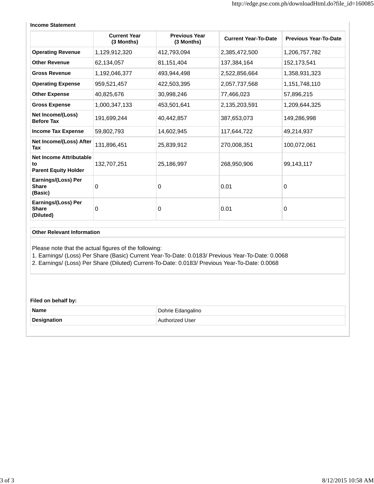| Income Statement                                                    |                                   |                                    |                             |                              |
|---------------------------------------------------------------------|-----------------------------------|------------------------------------|-----------------------------|------------------------------|
|                                                                     | <b>Current Year</b><br>(3 Months) | <b>Previous Year</b><br>(3 Months) | <b>Current Year-To-Date</b> | <b>Previous Year-To-Date</b> |
| <b>Operating Revenue</b>                                            | 1,129,912,320                     | 412,793,094                        | 2,385,472,500               | 1,206,757,782                |
| <b>Other Revenue</b>                                                | 62,134,057                        | 81, 151, 404                       | 137,384,164                 | 152,173,541                  |
| <b>Gross Revenue</b>                                                | 1,192,046,377                     | 493,944,498                        | 2,522,856,664               | 1,358,931,323                |
| <b>Operating Expense</b>                                            | 959,521,457                       | 422,503,395                        | 2,057,737,568               | 1,151,748,110                |
| <b>Other Expense</b>                                                | 40,825,676                        | 30,998,246                         | 77,466,023                  | 57,896,215                   |
| <b>Gross Expense</b>                                                | 1,000,347,133                     | 453,501,641                        | 2,135,203,591               | 1,209,644,325                |
| Net Income/(Loss)<br><b>Before Tax</b>                              | 191,699,244                       | 40,442,857                         | 387,653,073                 | 149,286,998                  |
| <b>Income Tax Expense</b>                                           | 59,802,793                        | 14,602,945                         | 117,644,722                 | 49,214,937                   |
| Net Income/(Loss) After<br>Tax                                      | 131,896,451                       | 25,839,912                         | 270,008,351                 | 100,072,061                  |
| <b>Net Income Attributable</b><br>to<br><b>Parent Equity Holder</b> | 132,707,251                       | 25,186,997                         | 268,950,906                 | 99,143,117                   |
| Earnings/(Loss) Per<br><b>Share</b><br>(Basic)                      | 0                                 | 0                                  | 0.01                        | 0                            |
| Earnings/(Loss) Per<br><b>Share</b>                                 | 0                                 | 0                                  | 0.01                        | 0                            |

#### **Income Statement**

#### **Other Relevant Information**

**(Diluted)**

Please note that the actual figures of the following:

1. Earnings/ (Loss) Per Share (Basic) Current Year-To-Date: 0.0183/ Previous Year-To-Date: 0.0068

2. Earnings/ (Loss) Per Share (Diluted) Current-To-Date: 0.0183/ Previous Year-To-Date: 0.0068

#### **Filed on behalf by:**

| Name               | Dohrie Edangalino |
|--------------------|-------------------|
| <b>Designation</b> | Authorized User_  |
|                    |                   |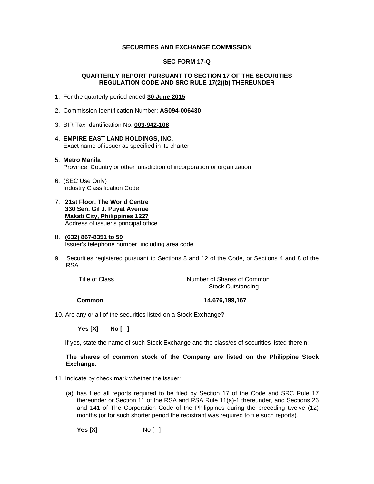#### **SECURITIES AND EXCHANGE COMMISSION**

#### **SEC FORM 17-Q**

#### **QUARTERLY REPORT PURSUANT TO SECTION 17 OF THE SECURITIES REGULATION CODE AND SRC RULE 17(2)(b) THEREUNDER**

- 1. For the quarterly period ended **30 June 2015**
- 2. Commission Identification Number: **AS094-006430**
- 3. BIR Tax Identification No. **003-942-108**
- 4. **EMPIRE EAST LAND HOLDINGS, INC.**  Exact name of issuer as specified in its charter
- 5. **Metro Manila**  Province, Country or other jurisdiction of incorporation or organization
- 6. (SEC Use Only) Industry Classification Code
- 7. **21st Floor, The World Centre 330 Sen. Gil J. Puyat Avenue Makati City, Philippines 1227** Address of issuer's principal office

#### 8. **(632) 867-8351 to 59**  Issuer's telephone number, including area code

9. Securities registered pursuant to Sections 8 and 12 of the Code, or Sections 4 and 8 of the RSA

Title of Class Title of Common Number of Shares of Common Stock Outstanding

 **Common 14,676,199,167** 

10. Are any or all of the securities listed on a Stock Exchange?

 **Yes [X] No [ ]**

If yes, state the name of such Stock Exchange and the class/es of securities listed therein:

#### **The shares of common stock of the Company are listed on the Philippine Stock Exchange.**

- 11. Indicate by check mark whether the issuer:
	- (a) has filed all reports required to be filed by Section 17 of the Code and SRC Rule 17 thereunder or Section 11 of the RSA and RSA Rule 11(a)-1 thereunder, and Sections 26 and 141 of The Corporation Code of the Philippines during the preceding twelve (12) months (or for such shorter period the registrant was required to file such reports).

**Yes [X]** No [ ]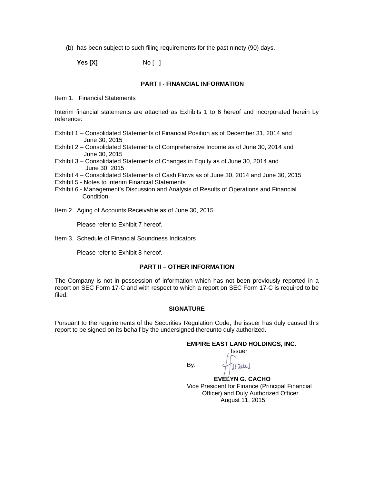(b) has been subject to such filing requirements for the past ninety (90) days.

**Yes [X]** No [ ]

#### **PART I - FINANCIAL INFORMATION**

Item 1. Financial Statements

Interim financial statements are attached as Exhibits 1 to 6 hereof and incorporated herein by reference:

- Exhibit 1 Consolidated Statements of Financial Position as of December 31, 2014 and June 30, 2015
- Exhibit 2 Consolidated Statements of Comprehensive Income as of June 30, 2014 and June 30, 2015
- Exhibit 3 Consolidated Statements of Changes in Equity as of June 30, 2014 and June 30, 2015
- Exhibit 4 Consolidated Statements of Cash Flows as of June 30, 2014 and June 30, 2015
- Exhibit 5 Notes to Interim Financial Statements
- Exhibit 6 Management's Discussion and Analysis of Results of Operations and Financial **Condition**

Item 2. Aging of Accounts Receivable as of June 30, 2015

Please refer to Exhibit 7 hereof.

Item 3. Schedule of Financial Soundness Indicators

Please refer to Exhibit 8 hereof.

#### **PART II – OTHER INFORMATION**

The Company is not in possession of information which has not been previously reported in a report on SEC Form 17-C and with respect to which a report on SEC Form 17-C is required to be filed.

#### **SIGNATURE**

Pursuant to the requirements of the Securities Regulation Code, the issuer has duly caused this report to be signed on its behalf by the undersigned thereunto duly authorized.

*<b> Issuer <b>Issuer Issuer* 

#### **EMPIRE EAST LAND HOLDINGS, INC.**

**By: By:** 

2/aug

 **EVELYN G. CACHO**  Vice President for Finance (Principal Financial Officer) and Duly Authorized Officer August 11, 2015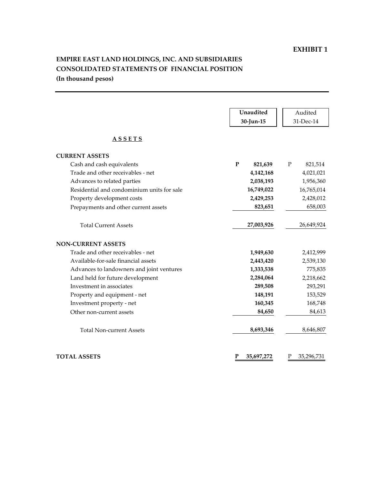#### EXHIBIT 1

# EMPIRE EAST LAND HOLDINGS, INC. AND SUBSIDIARIES CONSOLIDATED STATEMENTS OF FINANCIAL POSITION (In thousand pesos)

|                                            | Unaudited       | Audited                |
|--------------------------------------------|-----------------|------------------------|
|                                            | 30-Jun-15       | 31-Dec-14              |
| <b>ASSETS</b>                              |                 |                        |
| <b>CURRENT ASSETS</b>                      |                 |                        |
| Cash and cash equivalents                  | P<br>821,639    | $\mathbf P$<br>821,514 |
| Trade and other receivables - net          | 4,142,168       | 4,021,021              |
| Advances to related parties                | 2,038,193       | 1,956,360              |
| Residential and condominium units for sale | 16,749,022      | 16,765,014             |
| Property development costs                 | 2,429,253       | 2,428,012              |
| Prepayments and other current assets       | 823,651         | 658,003                |
| <b>Total Current Assets</b>                | 27,003,926      | 26,649,924             |
| <b>NON-CURRENT ASSETS</b>                  |                 |                        |
| Trade and other receivables - net          | 1,949,630       | 2,412,999              |
| Available-for-sale financial assets        | 2,443,420       | 2,539,130              |
| Advances to landowners and joint ventures  | 1,333,538       | 775,835                |
| Land held for future development           | 2,284,064       | 2,218,662              |
| Investment in associates                   | 289,508         | 293,291                |
| Property and equipment - net               | 148,191         | 153,529                |
| Investment property - net                  | 160,345         | 168,748                |
| Other non-current assets                   | 84,650          | 84,613                 |
| <b>Total Non-current Assets</b>            | 8,693,346       | 8,646,807              |
| <b>TOTAL ASSETS</b>                        | P<br>35,697,272 | P<br>35,296,731        |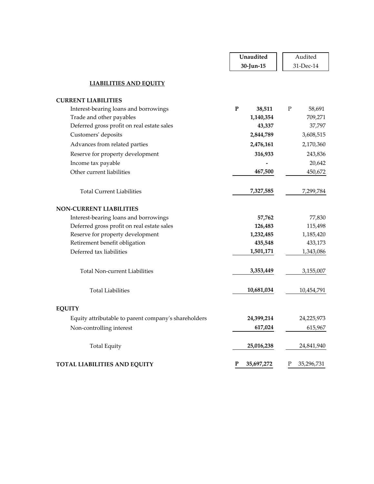|                                                      | Unaudited           | Audited               |
|------------------------------------------------------|---------------------|-----------------------|
|                                                      | 30-Jun-15           | 31-Dec-14             |
| <b>LIABILITIES AND EQUITY</b>                        |                     |                       |
| <b>CURRENT LIABILITIES</b>                           |                     |                       |
| Interest-bearing loans and borrowings                | ${\bf P}$<br>38,511 | $\mathbf P$<br>58,691 |
| Trade and other payables                             | 1,140,354           | 709,271               |
| Deferred gross profit on real estate sales           | 43,337              | 37,797                |
| Customers' deposits                                  | 2,844,789           | 3,608,515             |
| Advances from related parties                        | 2,476,161           | 2,170,360             |
| Reserve for property development                     | 316,933             | 243,836               |
| Income tax payable                                   |                     | 20,642                |
| Other current liabilities                            | 467,500             | 450,672               |
|                                                      |                     |                       |
| <b>Total Current Liabilities</b>                     | 7,327,585           | 7,299,784             |
| <b>NON-CURRENT LIABILITIES</b>                       |                     |                       |
| Interest-bearing loans and borrowings                | 57,762              | 77,830                |
| Deferred gross profit on real estate sales           | 126,483             | 115,498               |
| Reserve for property development                     | 1,232,485           | 1,185,420             |
| Retirement benefit obligation                        | 435,548             | 433,173               |
| Deferred tax liabilities                             | 1,501,171           | 1,343,086             |
| Total Non-current Liabilities                        | 3,353,449           | 3,155,007             |
|                                                      |                     |                       |
| <b>Total Liabilities</b>                             | 10,681,034          | 10,454,791            |
| <b>EQUITY</b>                                        |                     |                       |
| Equity attributable to parent company's shareholders | 24,399,214          | 24,225,973            |
| Non-controlling interest                             | 617,024             | 615,967               |
|                                                      |                     |                       |
| <b>Total Equity</b>                                  | 25,016,238          | 24,841,940            |
| TOTAL LIABILITIES AND EQUITY                         | P<br>35,697,272     | Ρ<br>35,296,731       |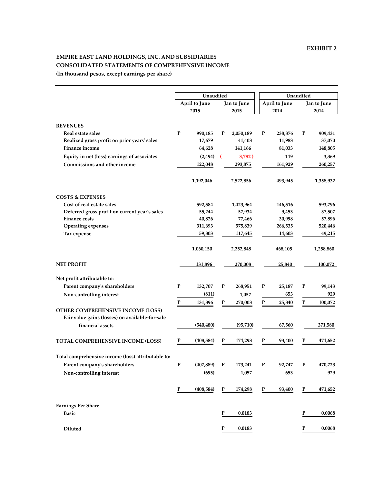#### EMPIRE EAST LAND HOLDINGS, INC. AND SUBSIDIARIES CONSOLIDATED STATEMENTS OF COMPREHENSIVE INCOME (In thousand pesos, except earnings per share)

|                                                    | Unaudited       |                        | Unaudited           |                      |  |  |
|----------------------------------------------------|-----------------|------------------------|---------------------|----------------------|--|--|
|                                                    | April to June   | Jan to June            | April to June       | Jan to June          |  |  |
|                                                    | 2015            | 2015                   | 2014                | 2014                 |  |  |
|                                                    |                 |                        |                     |                      |  |  |
| <b>REVENUES</b>                                    |                 |                        |                     |                      |  |  |
| Real estate sales                                  | P<br>990,185    | P<br>2,050,189         | P<br>238,876        | P<br>909,431         |  |  |
| Realized gross profit on prior years' sales        | 17,679          | 41,408                 | 11,988              | 37,070               |  |  |
| Finance income                                     | 64,628          | 141,166                | 81,033              | 148,805              |  |  |
| Equity in net (loss) earnings of associates        | (2, 494)        | 3,782)<br>$\sqrt{ }$   | 119                 | 3,369                |  |  |
| Commissions and other income                       | 122,048         | 293,875                | 161,929             | 260,257              |  |  |
|                                                    |                 |                        |                     |                      |  |  |
|                                                    | 1,192,046       | 2,522,856              | 493,945             | 1,358,932            |  |  |
| <b>COSTS &amp; EXPENSES</b>                        |                 |                        |                     |                      |  |  |
| Cost of real estate sales                          | 592,584         | 1,423,964              | 146,516             | 593,796              |  |  |
| Deferred gross profit on current year's sales      | 55,244          | 57,934                 | 9,453               | 37,507               |  |  |
| <b>Finance costs</b>                               | 40,826          | 77,466                 | 30,998              | 57,896               |  |  |
| Operating expenses                                 | 311,693         | 575,839                | 266,535             | 520,446              |  |  |
| Tax expense                                        | 59,803          | 117,645                | 14,603              | 49,215               |  |  |
|                                                    |                 |                        |                     |                      |  |  |
|                                                    | 1,060,150       | 2,252,848              | 468,105             | 1,258,860            |  |  |
| <b>NET PROFIT</b>                                  | 131,896         | 270,008                | 25,840              | 100,072              |  |  |
| Net profit attributable to:                        |                 |                        |                     |                      |  |  |
| Parent company's shareholders                      | P<br>132,707    | P<br>268,951           | ${\bf P}$<br>25,187 | P<br>99,143          |  |  |
| Non-controlling interest                           | (811)           | 1,057                  | 653                 | 929                  |  |  |
|                                                    | P<br>131,896    | P<br>270,008           | P<br>25,840         | P<br>100,072         |  |  |
| OTHER COMPREHENSIVE INCOME (LOSS)                  |                 |                        |                     |                      |  |  |
| Fair value gains (losses) on available-for-sale    |                 |                        |                     |                      |  |  |
| financial assets                                   | (540, 480)      | (95, 710)              | 67,560              | 371,580              |  |  |
|                                                    |                 |                        |                     |                      |  |  |
| TOTAL COMPREHENSIVE INCOME (LOSS)                  | P<br>(408, 584) | $\mathbf P$<br>174,298 | ${\bf P}$<br>93,400 | ${\bf P}$<br>471,652 |  |  |
|                                                    |                 |                        |                     |                      |  |  |
| Total comprehensive income (loss) attributable to: |                 |                        |                     |                      |  |  |
|                                                    |                 |                        |                     |                      |  |  |
| Parent company's shareholders                      | (407, 889)<br>P | P<br>173,241           | 92,747<br>P         | 470,723<br>P         |  |  |
| Non-controlling interest                           | (695)           | 1,057                  | 653                 | 929                  |  |  |
|                                                    | P<br>(408, 584) | P<br>174,298           | P<br>93,400         | P<br>471,652         |  |  |
|                                                    |                 |                        |                     |                      |  |  |
| <b>Earnings Per Share</b>                          |                 |                        |                     |                      |  |  |
| <b>Basic</b>                                       |                 | ${\bf P}$<br>0.0183    |                     | ${\bf P}$<br>0.0068  |  |  |
|                                                    |                 |                        |                     |                      |  |  |
| Diluted                                            |                 | ${\bf P}$<br>0.0183    |                     | ${\bf P}$<br>0.0068  |  |  |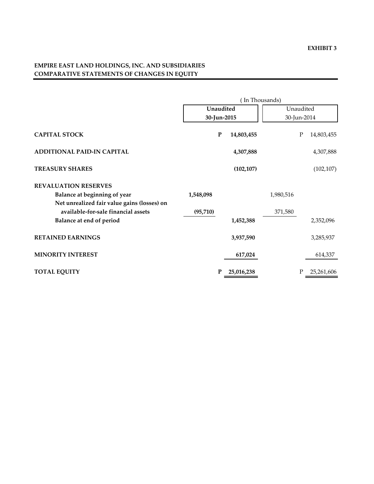# EMPIRE EAST LAND HOLDINGS, INC. AND SUBSIDIARIES COMPARATIVE STATEMENTS OF CHANGES IN EQUITY

|                                             |             | (In Thousands) |             |            |  |
|---------------------------------------------|-------------|----------------|-------------|------------|--|
|                                             | Unaudited   |                | Unaudited   |            |  |
|                                             | 30-Jun-2015 |                | 30-Jun-2014 |            |  |
| <b>CAPITAL STOCK</b>                        | ${\bf P}$   | 14,803,455     | ${\bf P}$   | 14,803,455 |  |
| <b>ADDITIONAL PAID-IN CAPITAL</b>           |             | 4,307,888      |             | 4,307,888  |  |
| <b>TREASURY SHARES</b>                      |             | (102, 107)     |             | (102, 107) |  |
| <b>REVALUATION RESERVES</b>                 |             |                |             |            |  |
| Balance at beginning of year                | 1,548,098   |                | 1,980,516   |            |  |
| Net unrealized fair value gains (losses) on |             |                |             |            |  |
| available-for-sale financial assets         | (95, 710)   |                | 371,580     |            |  |
| Balance at end of period                    |             | 1,452,388      |             | 2,352,096  |  |
| <b>RETAINED EARNINGS</b>                    |             | 3,937,590      |             | 3,285,937  |  |
| <b>MINORITY INTEREST</b>                    |             | 617,024        |             | 614,337    |  |
| <b>TOTAL EQUITY</b>                         | P           | 25,016,238     | Ρ           | 25,261,606 |  |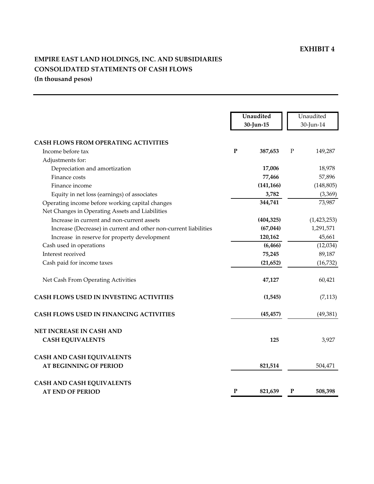# EXHIBIT 4

# EMPIRE EAST LAND HOLDINGS, INC. AND SUBSIDIARIES CONSOLIDATED STATEMENTS OF CASH FLOWS (In thousand pesos)

|                                                                  |           | Unaudited<br>30-Jun-15 | Unaudited<br>30-Jun-14 |             |  |
|------------------------------------------------------------------|-----------|------------------------|------------------------|-------------|--|
| <b>CASH FLOWS FROM OPERATING ACTIVITIES</b>                      |           |                        |                        |             |  |
| Income before tax                                                | ${\bf P}$ | 387,653                | $\mathbf P$            | 149,287     |  |
| Adjustments for:                                                 |           |                        |                        |             |  |
| Depreciation and amortization                                    |           | 17,006                 |                        | 18,978      |  |
| Finance costs                                                    |           | 77,466                 |                        | 57,896      |  |
| Finance income                                                   |           | (141, 166)             |                        | (148, 805)  |  |
| Equity in net loss (earnings) of associates                      |           | 3,782                  |                        | (3,369)     |  |
| Operating income before working capital changes                  |           | 344,741                |                        | 73,987      |  |
| Net Changes in Operating Assets and Liabilities                  |           |                        |                        |             |  |
| Increase in current and non-current assets                       |           | (404, 325)             |                        | (1,423,253) |  |
| Increase (Decrease) in current and other non-current liabilities |           | (67, 044)              |                        | 1,291,571   |  |
| Increase in reserve for property development                     |           | 120,162                |                        | 45,661      |  |
| Cash used in operations                                          |           | (6, 466)               |                        | (12,034)    |  |
| Interest received                                                |           | 75,245                 |                        | 89,187      |  |
| Cash paid for income taxes                                       |           | (21, 652)              |                        | (16, 732)   |  |
| Net Cash From Operating Activities                               |           | 47,127                 |                        | 60,421      |  |
| <b>CASH FLOWS USED IN INVESTING ACTIVITIES</b>                   |           | (1,545)                |                        | (7, 113)    |  |
| CASH FLOWS USED IN FINANCING ACTIVITIES                          |           | (45, 457)              |                        | (49, 381)   |  |
| NET INCREASE IN CASH AND                                         |           |                        |                        |             |  |
| <b>CASH EQUIVALENTS</b>                                          |           | 125                    |                        | 3,927       |  |
| <b>CASH AND CASH EQUIVALENTS</b>                                 |           |                        |                        |             |  |
| <b>AT BEGINNING OF PERIOD</b>                                    |           | 821,514                |                        | 504,471     |  |
| <b>CASH AND CASH EQUIVALENTS</b>                                 |           |                        |                        |             |  |
| <b>AT END OF PERIOD</b>                                          | P         | 821,639                | P                      | 508,398     |  |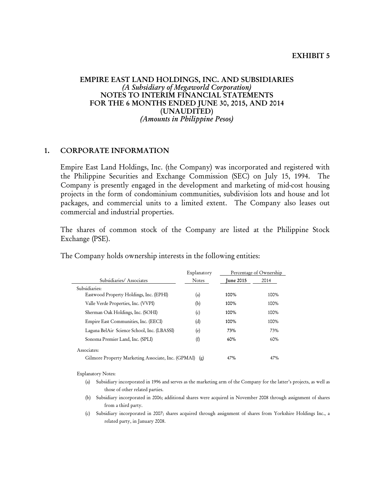#### EXHIBIT 5

#### EMPIRE EAST LAND HOLDINGS, INC. AND SUBSIDIARIES (A Subsidiary of Megaworld Corporation) NOTES TO INTERIM FINANCIAL STATEMENTS FOR THE 6 MONTHS ENDED JUNE 30, 2015, AND 2014 (UNAUDITED) (Amounts in Philippine Pesos)

#### 1. CORPORATE INFORMATION

Empire East Land Holdings, Inc. (the Company) was incorporated and registered with the Philippine Securities and Exchange Commission (SEC) on July 15, 1994. The Company is presently engaged in the development and marketing of mid-cost housing projects in the form of condominium communities, subdivision lots and house and lot packages, and commercial units to a limited extent. The Company also leases out commercial and industrial properties.

 The shares of common stock of the Company are listed at the Philippine Stock Exchange (PSE).

|                                                    | Explanatory  |                  | Percentage of Ownership |
|----------------------------------------------------|--------------|------------------|-------------------------|
| Subsidiaries/Associates                            | <b>Notes</b> | <b>Iune 2015</b> | 2014                    |
| Subsidiaries:                                      |              |                  |                         |
| Eastwood Property Holdings, Inc. (EPHI)            | (a)          | 100%             | 100%                    |
| Valle Verde Properties, Inc. (VVPI)                | (b)          | 100%             | 100%                    |
| Sherman Oak Holdings, Inc. (SOHI)                  | (c)          | 100%             | 100%                    |
| Empire East Communities, Inc. (EECI)               | (d)          | 100%             | 100%                    |
| Laguna BelAir Science School, Inc. (LBASSI)        | (e)          | 73%              | 73%                     |
| Sonoma Premier Land, Inc. (SPLI)                   | (f)          | 60%              | 60%                     |
| Associates:                                        |              |                  |                         |
| Gilmore Property Marketing Associate, Inc. (GPMAI) | (g)          | 47%              | 47%                     |

The Company holds ownership interests in the following entities:

Explanatory Notes:

- (a) Subsidiary incorporated in 1996 and serves as the marketing arm of the Company for the latter's projects, as well as those of other related parties.
- (b) Subsidiary incorporated in 2006; additional shares were acquired in November 2008 through assignment of shares from a third party.

(c) Subsidiary incorporated in 2007; shares acquired through assignment of shares from Yorkshire Holdings Inc., a related party, in January 2008.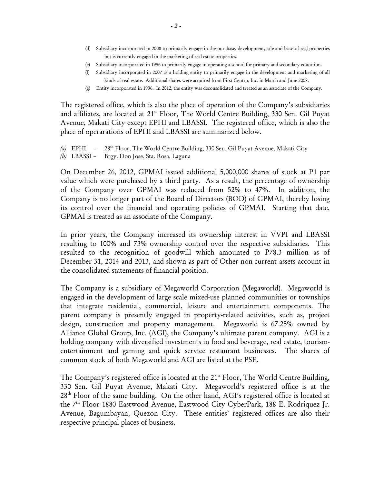- (d) Subsidiary incorporated in 2008 to primarily engage in the purchase, development, sale and lease of real properties but is currently engaged in the marketing of real estate properties.
- (e) Subsidiary incorporated in 1996 to primarily engage in operating a school for primary and secondary education.
- (f) Subsidiary incorporated in 2007 as a holding entity to primarily engage in the development and marketing of all kinds of real estate. Additional shares were acquired from First Centro, Inc. in March and June 2008.
- (g) Entity incorporated in 1996. In 2012, the entity was deconsolidated and treated as an associate of the Company.

The registered office, which is also the place of operation of the Company's subsidiaries and affiliates, are located at 21<sup>st</sup> Floor, The World Centre Building, 330 Sen. Gil Puyat Avenue, Makati City except EPHI and LBASSI. The registered office, which is also the place of operarations of EPHI and LBASSI are summarized below.

- (a) EPHI 28<sup>th</sup> Floor, The World Centre Building, 330 Sen. Gil Puyat Avenue, Makati City
- (b) LBASSI Brgy. Don Jose, Sta. Rosa, Laguna

On December 26, 2012, GPMAI issued additional 5,000,000 shares of stock at P1 par value which were purchased by a third party. As a result, the percentage of ownership of the Company over GPMAI was reduced from 52% to 47%. In addition, the Company is no longer part of the Board of Directors (BOD) of GPMAI, thereby losing its control over the financial and operating policies of GPMAI. Starting that date, GPMAI is treated as an associate of the Company.

In prior years, the Company increased its ownership interest in VVPI and LBASSI resulting to 100% and 73% ownership control over the respective subsidiaries. This resulted to the recognition of goodwill which amounted to P78.3 million as of December 31, 2014 and 2013, and shown as part of Other non-current assets account in the consolidated statements of financial position.

The Company is a subsidiary of Megaworld Corporation (Megaworld). Megaworld is engaged in the development of large scale mixed-use planned communities or townships that integrate residential, commercial, leisure and entertainment components. The parent company is presently engaged in property-related activities, such as, project design, construction and property management. Megaworld is 67.25% owned by Alliance Global Group, Inc. (AGI), the Company's ultimate parent company. AGI is a holding company with diversified investments in food and beverage, real estate, tourismentertainment and gaming and quick service restaurant businesses. The shares of common stock of both Megaworld and AGI are listed at the PSE.

The Company's registered office is located at the 21<sup>st</sup> Floor, The World Centre Building, 330 Sen. Gil Puyat Avenue, Makati City. Megaworld's registered office is at the  $28<sup>th</sup>$  Floor of the same building. On the other hand, AGI's registered office is located at the 7<sup>th</sup> Floor 1880 Eastwood Avenue, Eastwood City CyberPark, 188 E. Rodriquez Jr. Avenue, Bagumbayan, Quezon City. These entities' registered offices are also their respective principal places of business.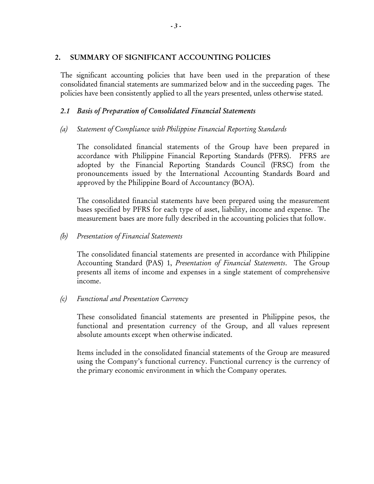# 2. SUMMARY OF SIGNIFICANT ACCOUNTING POLICIES

The significant accounting policies that have been used in the preparation of these consolidated financial statements are summarized below and in the succeeding pages. The policies have been consistently applied to all the years presented, unless otherwise stated.

# 2.1 Basis of Preparation of Consolidated Financial Statements

(a) Statement of Compliance with Philippine Financial Reporting Standards

The consolidated financial statements of the Group have been prepared in accordance with Philippine Financial Reporting Standards (PFRS). PFRS are adopted by the Financial Reporting Standards Council (FRSC) from the pronouncements issued by the International Accounting Standards Board and approved by the Philippine Board of Accountancy (BOA).

The consolidated financial statements have been prepared using the measurement bases specified by PFRS for each type of asset, liability, income and expense. The measurement bases are more fully described in the accounting policies that follow.

# (b) Presentation of Financial Statements

The consolidated financial statements are presented in accordance with Philippine Accounting Standard (PAS) 1, Presentation of Financial Statements. The Group presents all items of income and expenses in a single statement of comprehensive income.

# (c) Functional and Presentation Currency

These consolidated financial statements are presented in Philippine pesos, the functional and presentation currency of the Group, and all values represent absolute amounts except when otherwise indicated.

Items included in the consolidated financial statements of the Group are measured using the Company's functional currency. Functional currency is the currency of the primary economic environment in which the Company operates.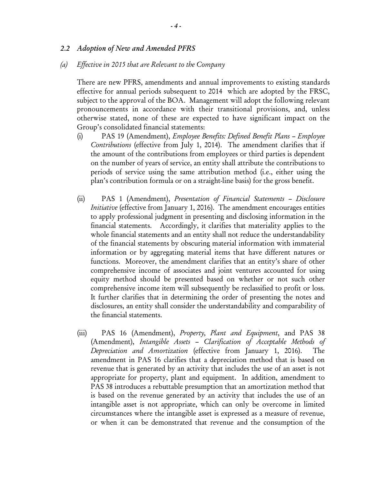#### 2.2 Adoption of New and Amended PFRS

#### (a) Effective in 2015 that are Relevant to the Company

There are new PFRS, amendments and annual improvements to existing standards effective for annual periods subsequent to 2014 which are adopted by the FRSC, subject to the approval of the BOA. Management will adopt the following relevant pronouncements in accordance with their transitional provisions, and, unless otherwise stated, none of these are expected to have significant impact on the Group's consolidated financial statements:

- (i) PAS 19 (Amendment), Employee Benefits: Defined Benefit Plans Employee Contributions (effective from July 1, 2014). The amendment clarifies that if the amount of the contributions from employees or third parties is dependent on the number of years of service, an entity shall attribute the contributions to periods of service using the same attribution method (i.e., either using the plan's contribution formula or on a straight-line basis) for the gross benefit.
- (ii) PAS 1 (Amendment), Presentation of Financial Statements Disclosure Initiative (effective from January 1, 2016). The amendment encourages entities to apply professional judgment in presenting and disclosing information in the financial statements. Accordingly, it clarifies that materiality applies to the whole financial statements and an entity shall not reduce the understandability of the financial statements by obscuring material information with immaterial information or by aggregating material items that have different natures or functions. Moreover, the amendment clarifies that an entity's share of other comprehensive income of associates and joint ventures accounted for using equity method should be presented based on whether or not such other comprehensive income item will subsequently be reclassified to profit or loss. It further clarifies that in determining the order of presenting the notes and disclosures, an entity shall consider the understandability and comparability of the financial statements.
- (iii) PAS 16 (Amendment), *Property*, *Plant and Equipment*, and PAS 38 (Amendment), Intangible Assets – Clarification of Acceptable Methods of Depreciation and Amortization (effective from January 1, 2016). The amendment in PAS 16 clarifies that a depreciation method that is based on revenue that is generated by an activity that includes the use of an asset is not appropriate for property, plant and equipment. In addition, amendment to PAS 38 introduces a rebuttable presumption that an amortization method that is based on the revenue generated by an activity that includes the use of an intangible asset is not appropriate, which can only be overcome in limited circumstances where the intangible asset is expressed as a measure of revenue, or when it can be demonstrated that revenue and the consumption of the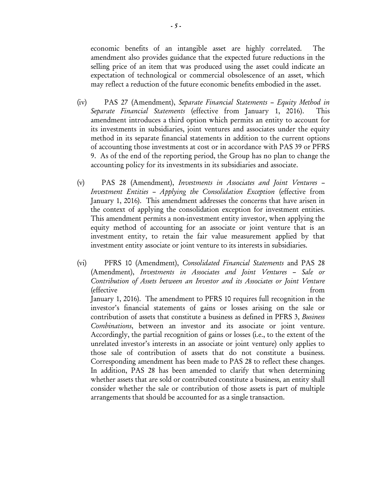economic benefits of an intangible asset are highly correlated. The amendment also provides guidance that the expected future reductions in the selling price of an item that was produced using the asset could indicate an expectation of technological or commercial obsolescence of an asset, which may reflect a reduction of the future economic benefits embodied in the asset.

- (iv) PAS 27 (Amendment), Separate Financial Statements Equity Method in Separate Financial Statements (effective from January 1, 2016). This amendment introduces a third option which permits an entity to account for its investments in subsidiaries, joint ventures and associates under the equity method in its separate financial statements in addition to the current options of accounting those investments at cost or in accordance with PAS 39 or PFRS 9. As of the end of the reporting period, the Group has no plan to change the accounting policy for its investments in its subsidiaries and associate.
- (v) PAS 28 (Amendment), Investments in Associates and Joint Ventures Investment Entities – Applying the Consolidation Exception (effective from January 1, 2016). This amendment addresses the concerns that have arisen in the context of applying the consolidation exception for investment entities. This amendment permits a non-investment entity investor, when applying the equity method of accounting for an associate or joint venture that is an investment entity, to retain the fair value measurement applied by that investment entity associate or joint venture to its interests in subsidiaries.
- (vi) PFRS 10 (Amendment), Consolidated Financial Statements and PAS 28 (Amendment), Investments in Associates and Joint Ventures – Sale or Contribution of Assets between an Investor and its Associates or Joint Venture (effective from January 1, 2016). The amendment to PFRS 10 requires full recognition in the investor's financial statements of gains or losses arising on the sale or contribution of assets that constitute a business as defined in PFRS 3, Business Combinations, between an investor and its associate or joint venture. Accordingly, the partial recognition of gains or losses (i.e., to the extent of the unrelated investor's interests in an associate or joint venture) only applies to those sale of contribution of assets that do not constitute a business. Corresponding amendment has been made to PAS 28 to reflect these changes. In addition, PAS 28 has been amended to clarify that when determining whether assets that are sold or contributed constitute a business, an entity shall consider whether the sale or contribution of those assets is part of multiple arrangements that should be accounted for as a single transaction.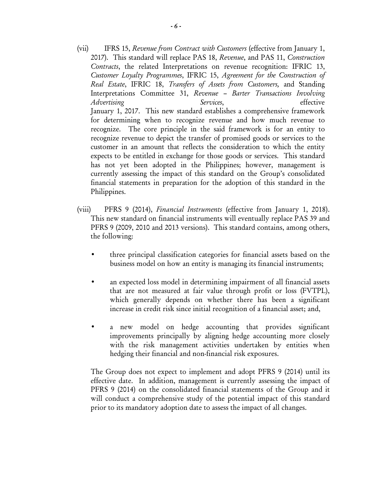- (vii) IFRS 15, Revenue from Contract with Customers (effective from January 1, 2017). This standard will replace PAS 18, Revenue, and PAS 11, Construction Contracts, the related Interpretations on revenue recognition: IFRIC 13, Customer Loyalty Programmes, IFRIC 15, Agreement for the Construction of Real Estate, IFRIC 18, Transfers of Assets from Customers, and Standing Interpretations Committee 31, Revenue – Barter Transactions Involving Advertising Services, Services, effective January 1, 2017. This new standard establishes a comprehensive framework for determining when to recognize revenue and how much revenue to recognize. The core principle in the said framework is for an entity to recognize revenue to depict the transfer of promised goods or services to the customer in an amount that reflects the consideration to which the entity expects to be entitled in exchange for those goods or services. This standard has not yet been adopted in the Philippines; however, management is currently assessing the impact of this standard on the Group's consolidated financial statements in preparation for the adoption of this standard in the Philippines.
- (viii) PFRS 9 (2014), Financial Instruments (effective from January 1, 2018). This new standard on financial instruments will eventually replace PAS 39 and PFRS 9 (2009, 2010 and 2013 versions). This standard contains, among others, the following:
	- three principal classification categories for financial assets based on the business model on how an entity is managing its financial instruments;
	- an expected loss model in determining impairment of all financial assets that are not measured at fair value through profit or loss (FVTPL), which generally depends on whether there has been a significant increase in credit risk since initial recognition of a financial asset; and,
	- a new model on hedge accounting that provides significant improvements principally by aligning hedge accounting more closely with the risk management activities undertaken by entities when hedging their financial and non-financial risk exposures.

The Group does not expect to implement and adopt PFRS 9 (2014) until its effective date. In addition, management is currently assessing the impact of PFRS 9 (2014) on the consolidated financial statements of the Group and it will conduct a comprehensive study of the potential impact of this standard prior to its mandatory adoption date to assess the impact of all changes.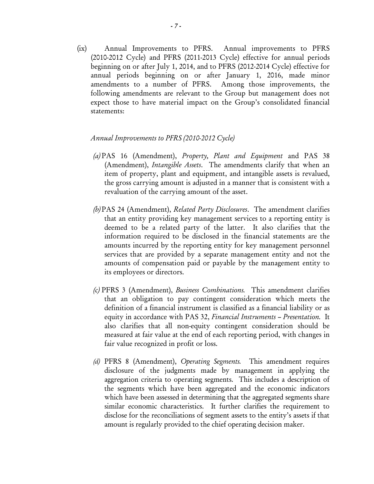(ix) Annual Improvements to PFRS. Annual improvements to PFRS (2010-2012 Cycle) and PFRS (2011-2013 Cycle) effective for annual periods beginning on or after July 1, 2014, and to PFRS (2012-2014 Cycle) effective for annual periods beginning on or after January 1, 2016, made minor amendments to a number of PFRS. Among those improvements, the following amendments are relevant to the Group but management does not expect those to have material impact on the Group's consolidated financial statements:

# Annual Improvements to PFRS (2010-2012 Cycle)

- (a) PAS 16 (Amendment), Property, Plant and Equipment and PAS 38 (Amendment), Intangible Assets. The amendments clarify that when an item of property, plant and equipment, and intangible assets is revalued, the gross carrying amount is adjusted in a manner that is consistent with a revaluation of the carrying amount of the asset.
- (b) PAS 24 (Amendment), Related Party Disclosures. The amendment clarifies that an entity providing key management services to a reporting entity is deemed to be a related party of the latter. It also clarifies that the information required to be disclosed in the financial statements are the amounts incurred by the reporting entity for key management personnel services that are provided by a separate management entity and not the amounts of compensation paid or payable by the management entity to its employees or directors.
- (c) PFRS 3 (Amendment), Business Combinations. This amendment clarifies that an obligation to pay contingent consideration which meets the definition of a financial instrument is classified as a financial liability or as equity in accordance with PAS 32, Financial Instruments – Presentation. It also clarifies that all non-equity contingent consideration should be measured at fair value at the end of each reporting period, with changes in fair value recognized in profit or loss.
- (d) PFRS 8 (Amendment), Operating Segments. This amendment requires disclosure of the judgments made by management in applying the aggregation criteria to operating segments. This includes a description of the segments which have been aggregated and the economic indicators which have been assessed in determining that the aggregated segments share similar economic characteristics. It further clarifies the requirement to disclose for the reconciliations of segment assets to the entity's assets if that amount is regularly provided to the chief operating decision maker.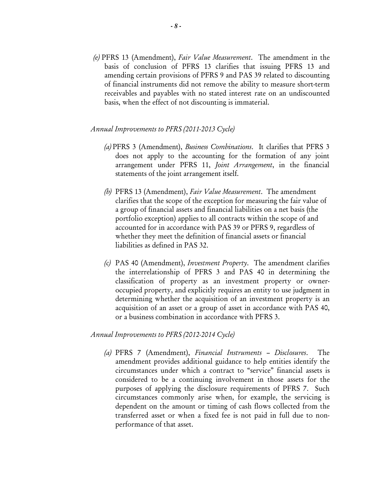(e) PFRS 13 (Amendment), Fair Value Measurement. The amendment in the basis of conclusion of PFRS 13 clarifies that issuing PFRS 13 and amending certain provisions of PFRS 9 and PAS 39 related to discounting of financial instruments did not remove the ability to measure short-term receivables and payables with no stated interest rate on an undiscounted basis, when the effect of not discounting is immaterial.

#### Annual Improvements to PFRS (2011-2013 Cycle)

- (a) PFRS 3 (Amendment), *Business Combinations*. It clarifies that PFRS 3 does not apply to the accounting for the formation of any joint arrangement under PFRS 11, Joint Arrangement, in the financial statements of the joint arrangement itself.
- (b) PFRS 13 (Amendment), Fair Value Measurement. The amendment clarifies that the scope of the exception for measuring the fair value of a group of financial assets and financial liabilities on a net basis (the portfolio exception) applies to all contracts within the scope of and accounted for in accordance with PAS 39 or PFRS 9, regardless of whether they meet the definition of financial assets or financial liabilities as defined in PAS 32.
- (c) PAS 40 (Amendment), Investment Property. The amendment clarifies the interrelationship of PFRS 3 and PAS 40 in determining the classification of property as an investment property or owneroccupied property, and explicitly requires an entity to use judgment in determining whether the acquisition of an investment property is an acquisition of an asset or a group of asset in accordance with PAS 40, or a business combination in accordance with PFRS 3.

#### Annual Improvements to PFRS (2012-2014 Cycle)

(a) PFRS 7 (Amendment), Financial Instruments – Disclosures. The amendment provides additional guidance to help entities identify the circumstances under which a contract to "service" financial assets is considered to be a continuing involvement in those assets for the purposes of applying the disclosure requirements of PFRS 7. Such circumstances commonly arise when, for example, the servicing is dependent on the amount or timing of cash flows collected from the transferred asset or when a fixed fee is not paid in full due to nonperformance of that asset.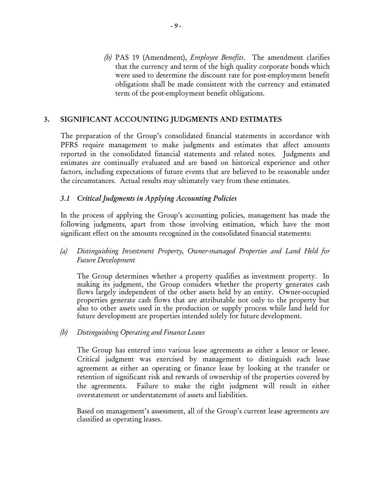(b) PAS 19 (Amendment), *Employee Benefits*. The amendment clarifies that the currency and term of the high quality corporate bonds which were used to determine the discount rate for post-employment benefit obligations shall be made consistent with the currency and estimated term of the post-employment benefit obligations.

# 3. SIGNIFICANT ACCOUNTING JUDGMENTS AND ESTIMATES

The preparation of the Group's consolidated financial statements in accordance with PFRS require management to make judgments and estimates that affect amounts reported in the consolidated financial statements and related notes. Judgments and estimates are continually evaluated and are based on historical experience and other factors, including expectations of future events that are believed to be reasonable under the circumstances. Actual results may ultimately vary from these estimates.

# 3.1 Critical Judgments in Applying Accounting Policies

In the process of applying the Group's accounting policies, management has made the following judgments, apart from those involving estimation, which have the most significant effect on the amounts recognized in the consolidated financial statements:

(a) Distinguishing Investment Property, Owner-managed Properties and Land Held for Future Development

The Group determines whether a property qualifies as investment property. In making its judgment, the Group considers whether the property generates cash flows largely independent of the other assets held by an entity. Owner-occupied properties generate cash flows that are attributable not only to the property but also to other assets used in the production or supply process while land held for future development are properties intended solely for future development.

(b) Distinguishing Operating and Finance Leases

The Group has entered into various lease agreements as either a lessor or lessee. Critical judgment was exercised by management to distinguish each lease agreement as either an operating or finance lease by looking at the transfer or retention of significant risk and rewards of ownership of the properties covered by the agreements. Failure to make the right judgment will result in either overstatement or understatement of assets and liabilities.

Based on management's assessment, all of the Group's current lease agreements are classified as operating leases.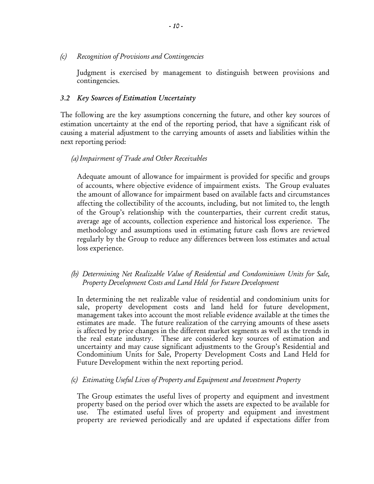(c) Recognition of Provisions and Contingencies

Judgment is exercised by management to distinguish between provisions and contingencies.

#### 3.2 Key Sources of Estimation Uncertainty

The following are the key assumptions concerning the future, and other key sources of estimation uncertainty at the end of the reporting period, that have a significant risk of causing a material adjustment to the carrying amounts of assets and liabilities within the next reporting period:

# (a) Impairment of Trade and Other Receivables

Adequate amount of allowance for impairment is provided for specific and groups of accounts, where objective evidence of impairment exists. The Group evaluates the amount of allowance for impairment based on available facts and circumstances affecting the collectibility of the accounts, including, but not limited to, the length of the Group's relationship with the counterparties, their current credit status, average age of accounts, collection experience and historical loss experience. The methodology and assumptions used in estimating future cash flows are reviewed regularly by the Group to reduce any differences between loss estimates and actual loss experience.

(b) Determining Net Realizable Value of Residential and Condominium Units for Sale, Property Development Costs and Land Held for Future Development

In determining the net realizable value of residential and condominium units for sale, property development costs and land held for future development, management takes into account the most reliable evidence available at the times the estimates are made. The future realization of the carrying amounts of these assets is affected by price changes in the different market segments as well as the trends in the real estate industry. These are considered key sources of estimation and uncertainty and may cause significant adjustments to the Group's Residential and Condominium Units for Sale, Property Development Costs and Land Held for Future Development within the next reporting period.

(c) Estimating Useful Lives of Property and Equipment and Investment Property

The Group estimates the useful lives of property and equipment and investment property based on the period over which the assets are expected to be available for use. The estimated useful lives of property and equipment and investment property are reviewed periodically and are updated if expectations differ from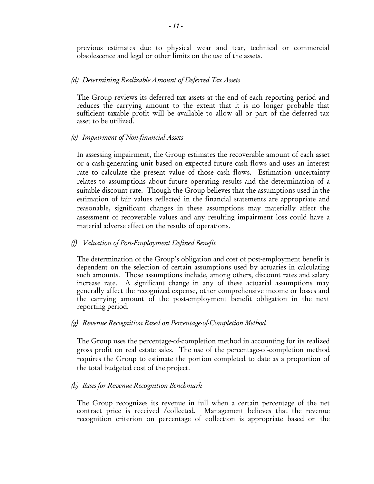previous estimates due to physical wear and tear, technical or commercial obsolescence and legal or other limits on the use of the assets.

# (d) Determining Realizable Amount of Deferred Tax Assets

The Group reviews its deferred tax assets at the end of each reporting period and reduces the carrying amount to the extent that it is no longer probable that sufficient taxable profit will be available to allow all or part of the deferred tax asset to be utilized.

# (e) Impairment of Non-financial Assets

In assessing impairment, the Group estimates the recoverable amount of each asset or a cash-generating unit based on expected future cash flows and uses an interest rate to calculate the present value of those cash flows. Estimation uncertainty relates to assumptions about future operating results and the determination of a suitable discount rate. Though the Group believes that the assumptions used in the estimation of fair values reflected in the financial statements are appropriate and reasonable, significant changes in these assumptions may materially affect the assessment of recoverable values and any resulting impairment loss could have a material adverse effect on the results of operations.

# (f) Valuation of Post-Employment Defined Benefit

The determination of the Group's obligation and cost of post-employment benefit is dependent on the selection of certain assumptions used by actuaries in calculating such amounts. Those assumptions include, among others, discount rates and salary increase rate. A significant change in any of these actuarial assumptions may generally affect the recognized expense, other comprehensive income or losses and the carrying amount of the post-employment benefit obligation in the next reporting period.

# (g) Revenue Recognition Based on Percentage-of-Completion Method

The Group uses the percentage-of-completion method in accounting for its realized gross profit on real estate sales. The use of the percentage-of-completion method requires the Group to estimate the portion completed to date as a proportion of the total budgeted cost of the project.

# (h) Basis for Revenue Recognition Benchmark

The Group recognizes its revenue in full when a certain percentage of the net contract price is received /collected. Management believes that the revenue recognition criterion on percentage of collection is appropriate based on the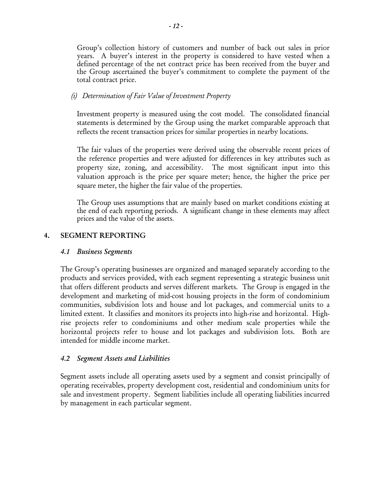Group's collection history of customers and number of back out sales in prior years. A buyer's interest in the property is considered to have vested when a defined percentage of the net contract price has been received from the buyer and the Group ascertained the buyer's commitment to complete the payment of the total contract price.

# (i) Determination of Fair Value of Investment Property

Investment property is measured using the cost model. The consolidated financial statements is determined by the Group using the market comparable approach that reflects the recent transaction prices for similar properties in nearby locations.

The fair values of the properties were derived using the observable recent prices of the reference properties and were adjusted for differences in key attributes such as property size, zoning, and accessibility. The most significant input into this valuation approach is the price per square meter; hence, the higher the price per square meter, the higher the fair value of the properties.

The Group uses assumptions that are mainly based on market conditions existing at the end of each reporting periods. A significant change in these elements may affect prices and the value of the assets.

# 4. SEGMENT REPORTING

# 4.1 Business Segments

The Group's operating businesses are organized and managed separately according to the products and services provided, with each segment representing a strategic business unit that offers different products and serves different markets. The Group is engaged in the development and marketing of mid-cost housing projects in the form of condominium communities, subdivision lots and house and lot packages, and commercial units to a limited extent. It classifies and monitors its projects into high-rise and horizontal. Highrise projects refer to condominiums and other medium scale properties while the horizontal projects refer to house and lot packages and subdivision lots. Both are intended for middle income market.

# 4.2 Segment Assets and Liabilities

Segment assets include all operating assets used by a segment and consist principally of operating receivables, property development cost, residential and condominium units for sale and investment property. Segment liabilities include all operating liabilities incurred by management in each particular segment.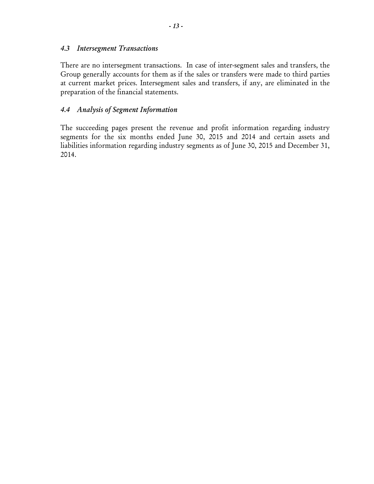# 4.3 Intersegment Transactions

 There are no intersegment transactions. In case of inter-segment sales and transfers, the Group generally accounts for them as if the sales or transfers were made to third parties at current market prices. Intersegment sales and transfers, if any, are eliminated in the preparation of the financial statements.

# 4.4 Analysis of Segment Information

The succeeding pages present the revenue and profit information regarding industry segments for the six months ended June 30, 2015 and 2014 and certain assets and liabilities information regarding industry segments as of June 30, 2015 and December 31, 2014.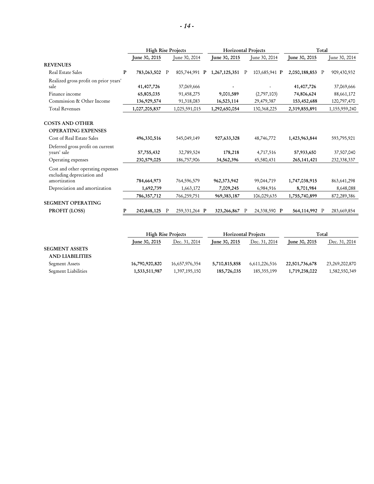|                                                                                  |              | <b>High Rise Projects</b> |             |               | <b>Horizontal Projects</b>     |              |               | Total           |               |               |
|----------------------------------------------------------------------------------|--------------|---------------------------|-------------|---------------|--------------------------------|--------------|---------------|-----------------|---------------|---------------|
|                                                                                  |              | June 30, 2015             |             | June 30, 2014 | June 30, 2015<br>June 30, 2014 |              | June 30, 2015 |                 | June 30, 2014 |               |
| <b>REVENUES</b>                                                                  |              |                           |             |               |                                |              |               |                 |               |               |
| <b>Real Estate Sales</b>                                                         | $\mathbf{P}$ | 783,063,502               | $\mathbf P$ | 805,744,991 P | 1,267,125,351                  | P            | 103,685,941 P | 2,050,188,853 P |               | 909,430,932   |
| Realized gross profit on prior years'<br>sale                                    |              | 41,407,726                |             | 37,069,666    |                                |              |               | 41,407,726      |               | 37,069,666    |
| Finance income                                                                   |              | 65,805,035                |             | 91,458,275    | 9,001,589                      |              | (2,797,103)   | 74,806,624      |               | 88,661,172    |
| Commission & Other Income                                                        |              | 136,929,574               |             | 91,318,083    | 16,523,114                     |              | 29,479,387    | 153,452,688     |               | 120,797,470   |
| <b>Total Revenues</b>                                                            |              | 1,027,205,837             |             | 1,025,591,015 | 1,292,650,054                  |              | 130, 368, 225 | 2,319,855,891   |               | 1,155,959,240 |
| <b>COSTS AND OTHER</b><br><b>OPERATING EXPENSES</b><br>Cost of Real Estate Sales |              | 496,330,516               |             | 545,049,149   | 927,633,328                    |              | 48,746,772    | 1,423,963,844   |               | 593,795,921   |
| Deferred gross profit on current<br>years' sale                                  |              | 57,755,432                |             | 32,789,524    | 178,218                        |              | 4,717,516     | 57,933,650      |               | 37,507,040    |
| Operating expenses                                                               |              | 230,579,025               |             | 186,757,906   | 34,562,396                     |              | 45,580,431    | 265, 141, 421   |               | 232, 338, 337 |
| Cost and other operating expenses<br>excluding depreciation and                  |              |                           |             |               |                                |              |               |                 |               |               |
| amortization                                                                     |              | 784,664,973               |             | 764,596,579   | 962, 373, 942                  |              | 99,044,719    | 1,747,038,915   |               | 863, 641, 298 |
| Depreciation and amortization                                                    |              | 1,692,739                 |             | 1,663,172     | 7,009,245<br>6,984,916         |              | 8,701,984     |                 | 8,648,088     |               |
|                                                                                  |              | 786, 357, 712             |             | 766,259,751   | 969, 383, 187                  |              | 106,029,635   | 1,755,740,899   |               | 872,289,386   |
| <b>SEGMENT OPERATING</b>                                                         |              |                           |             |               |                                |              |               |                 |               |               |
| <b>PROFIT (LOSS)</b>                                                             |              | 240,848,125               | P           | 259,331,264 P | 323,266,867                    | $\mathbb{P}$ | 24,338,590 P  | 564,114,992 P   |               | 283,669,854   |

|                        |                      | <b>High Rise Projects</b> |               | <b>Horizontal Projects</b> |                      | Total          |  |
|------------------------|----------------------|---------------------------|---------------|----------------------------|----------------------|----------------|--|
|                        | <b>Iune 30, 2015</b> | Dec. 31, 2014             | June 30, 2015 | Dec. 31, 2014              | <b>June 30, 2015</b> | Dec. 31, 2014  |  |
| <b>SEGMENT ASSETS</b>  |                      |                           |               |                            |                      |                |  |
| <b>AND LIABILITIES</b> |                      |                           |               |                            |                      |                |  |
| Segment Assets         | 16,790,920,820       | 16,657,976,354            | 5,710,815,858 | 6,611,226,516              | 22,501,736,678       | 23,269,202,870 |  |
| Segment Liabilities    | 1,533,511,987        | 1,397,195,150             | 185,726,035   | 185, 355, 199              | 1,719,238,022        | 1,582,550,349  |  |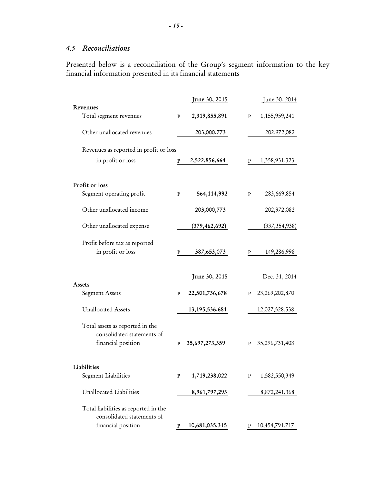# 4.5 Reconciliations

Presented below is a reconciliation of the Group's segment information to the key financial information presented in its financial statements

|                                                                    |   | June 30, 2015     |   | June 30, 2014     |
|--------------------------------------------------------------------|---|-------------------|---|-------------------|
| Revenues                                                           |   |                   |   |                   |
| Total segment revenues                                             | P | 2,319,855,891     | P | 1,155,959,241     |
| Other unallocated revenues                                         |   | 203,000,773       |   | 202,972,082       |
| Revenues as reported in profit or loss                             |   |                   |   |                   |
| in profit or loss                                                  | P | 2,522,856,664     | P | 1,358,931,323     |
| Profit or loss                                                     |   |                   |   |                   |
| Segment operating profit                                           | P | 564,114,992       | P | 283,669,854       |
| Other unallocated income                                           |   | 203,000,773       |   | 202,972,082       |
| Other unallocated expense                                          |   | (379, 462, 692)   |   | (337, 354, 938)   |
| Profit before tax as reported<br>in profit or loss                 | P | 387,653,073       | P | 149,286,998       |
| Assets                                                             |   | June 30, 2015     |   | Dec. 31, 2014     |
| Segment Assets                                                     | P | 22,501,736,678    | P | 23, 269, 202, 870 |
| <b>Unallocated Assets</b>                                          |   | 13, 195, 536, 681 |   | 12,027,528,538    |
| Total assets as reported in the<br>consolidated statements of      |   |                   |   |                   |
| financial position                                                 | P | 35,697,273,359    | P | 35,296,731,408    |
| Liabilities                                                        |   |                   |   |                   |
| <b>Segment Liabilities</b>                                         | P | 1,719,238,022     | P | 1,582,550,349     |
| Unallocated Liabilities                                            |   | 8,961,797,293     |   | 8,872,241,368     |
| Total liabilities as reported in the<br>consolidated statements of |   |                   |   |                   |
| financial position                                                 | P | 10,681,035,315    | Ρ | 10,454,791,717    |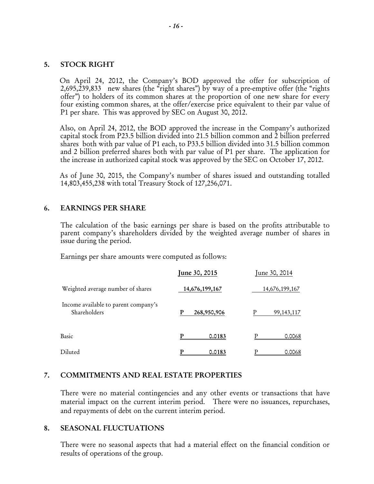# 5. STOCK RIGHT

On April 24, 2012, the Company's BOD approved the offer for subscription of 2,695,239,833 new shares (the "right shares") by way of a pre-emptive offer (the "rights offer") to holders of its common shares at the proportion of one new share for every four existing common shares, at the offer/exercise price equivalent to their par value of P1 per share. This was approved by SEC on August 30, 2012.

Also, on April 24, 2012, the BOD approved the increase in the Company's authorized capital stock from P23.5 billion divided into 21.5 billion common and 2 billion preferred shares both with par value of P1 each, to P33.5 billion divided into 31.5 billion common and 2 billion preferred shares both with par value of P1 per share. The application for the increase in authorized capital stock was approved by the SEC on October 17, 2012.

As of June 30, 2015, the Company's number of shares issued and outstanding totalled 14,803,455,238 with total Treasury Stock of 127,256,071.

#### 6. EARNINGS PER SHARE

The calculation of the basic earnings per share is based on the profits attributable to parent company's shareholders divided by the weighted average number of shares in issue during the period.

Earnings per share amounts were computed as follows:

|                                                      | June 30, 2015    | June 30, 2014     |  |  |
|------------------------------------------------------|------------------|-------------------|--|--|
| Weighted average number of shares                    | 14,676,199,167   | 14,676,199,167    |  |  |
| Income available to parent company's<br>Shareholders | P<br>268,950,906 | P<br>99, 143, 117 |  |  |
| Basic                                                | 0.0183           | 0.0068            |  |  |
| Diluted                                              | 0.0183           | 0.0068            |  |  |

# 7. COMMITMENTS AND REAL ESTATE PROPERTIES

There were no material contingencies and any other events or transactions that have material impact on the current interim period. There were no issuances, repurchases, and repayments of debt on the current interim period.

#### 8. SEASONAL FLUCTUATIONS

There were no seasonal aspects that had a material effect on the financial condition or results of operations of the group.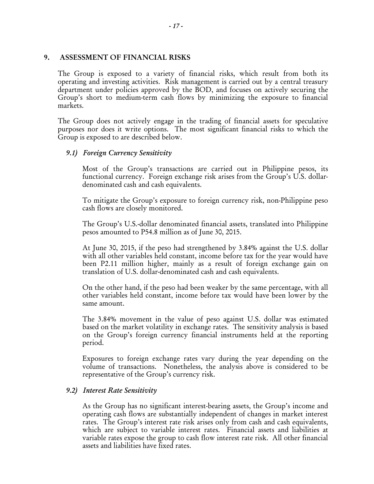#### 9. ASSESSMENT OF FINANCIAL RISKS

The Group is exposed to a variety of financial risks, which result from both its operating and investing activities. Risk management is carried out by a central treasury department under policies approved by the BOD, and focuses on actively securing the Group's short to medium-term cash flows by minimizing the exposure to financial markets.

The Group does not actively engage in the trading of financial assets for speculative purposes nor does it write options. The most significant financial risks to which the Group is exposed to are described below.

# 9.1) Foreign Currency Sensitivity

Most of the Group's transactions are carried out in Philippine pesos, its functional currency. Foreign exchange risk arises from the Group's U.S. dollardenominated cash and cash equivalents.

To mitigate the Group's exposure to foreign currency risk, non-Philippine peso cash flows are closely monitored.

The Group's U.S.-dollar denominated financial assets, translated into Philippine pesos amounted to P54.8 million as of June 30, 2015.

At June 30, 2015, if the peso had strengthened by 3.84% against the U.S. dollar with all other variables held constant, income before tax for the year would have been P2.11 million higher, mainly as a result of foreign exchange gain on translation of U.S. dollar-denominated cash and cash equivalents.

On the other hand, if the peso had been weaker by the same percentage, with all other variables held constant, income before tax would have been lower by the same amount.

The 3.84% movement in the value of peso against U.S. dollar was estimated based on the market volatility in exchange rates. The sensitivity analysis is based on the Group's foreign currency financial instruments held at the reporting period.

Exposures to foreign exchange rates vary during the year depending on the volume of transactions. Nonetheless, the analysis above is considered to be representative of the Group's currency risk.

# 9.2) Interest Rate Sensitivity

As the Group has no significant interest-bearing assets, the Group's income and operating cash flows are substantially independent of changes in market interest rates. The Group's interest rate risk arises only from cash and cash equivalents, which are subject to variable interest rates. Financial assets and liabilities at variable rates expose the group to cash flow interest rate risk. All other financial assets and liabilities have fixed rates.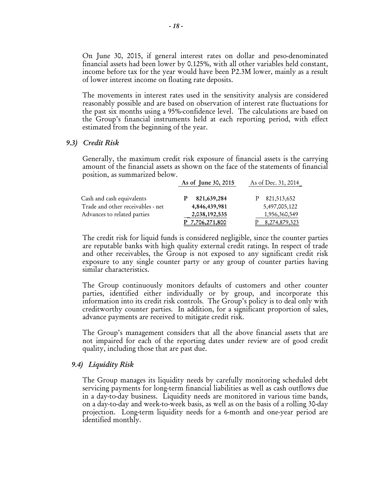On June 30, 2015, if general interest rates on dollar and peso-denominated financial assets had been lower by 0.125%, with all other variables held constant, income before tax for the year would have been P2.3M lower, mainly as a result of lower interest income on floating rate deposits.

The movements in interest rates used in the sensitivity analysis are considered reasonably possible and are based on observation of interest rate fluctuations for the past six months using a 95%-confidence level. The calculations are based on the Group's financial instruments held at each reporting period, with effect estimated from the beginning of the year.

#### 9.3) Credit Risk

Generally, the maximum credit risk exposure of financial assets is the carrying amount of the financial assets as shown on the face of the statements of financial position, as summarized below.

|                                   | As of June 30, 2015 | As of Dec. 31, 2014 |
|-----------------------------------|---------------------|---------------------|
| Cash and cash equivalents         | 821,639,284         | 821,513,652         |
| Trade and other receivables - net | 4,846,439,981       | 5,497,005,122       |
| Advances to related parties       | 2,038,192,535       | 1,956,360,549       |
|                                   | 7,706,271,800       | 8,274,879,323       |

The credit risk for liquid funds is considered negligible, since the counter parties are reputable banks with high quality external credit ratings. In respect of trade and other receivables, the Group is not exposed to any significant credit risk exposure to any single counter party or any group of counter parties having similar characteristics.

The Group continuously monitors defaults of customers and other counter parties, identified either individually or by group, and incorporate this information into its credit risk controls. The Group's policy is to deal only with creditworthy counter parties. In addition, for a significant proportion of sales, advance payments are received to mitigate credit risk.

The Group's management considers that all the above financial assets that are not impaired for each of the reporting dates under review are of good credit quality, including those that are past due.

#### 9.4) Liquidity Risk

The Group manages its liquidity needs by carefully monitoring scheduled debt servicing payments for long-term financial liabilities as well as cash outflows due in a day-to-day business. Liquidity needs are monitored in various time bands, on a day-to-day and week-to-week basis, as well as on the basis of a rolling 30-day projection. Long-term liquidity needs for a 6-month and one-year period are identified monthly.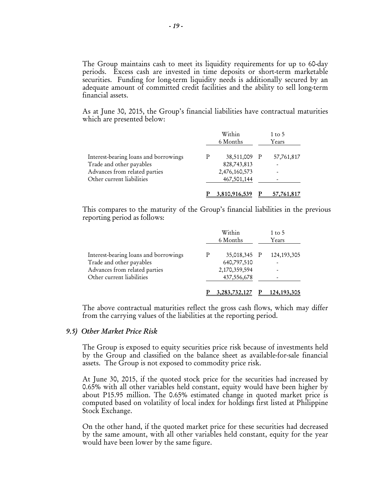The Group maintains cash to meet its liquidity requirements for up to 60-day periods. Excess cash are invested in time deposits or short-term marketable securities. Funding for long-term liquidity needs is additionally secured by an adequate amount of committed credit facilities and the ability to sell long-term financial assets.

As at June 30, 2015, the Group's financial liabilities have contractual maturities which are presented below:

|                                       |   | Within<br>6 Months | 1 to 5<br>Years |
|---------------------------------------|---|--------------------|-----------------|
| Interest-bearing loans and borrowings | P | 38,511,009 P       | 57,761,817      |
| Trade and other payables              |   | 828,743,813        |                 |
| Advances from related parties         |   | 2,476,160,573      |                 |
| Other current liabilities             |   | 467,501,144        |                 |
|                                       |   | 3,810,916,539      | 57,761,817      |

This compares to the maturity of the Group's financial liabilities in the previous reporting period as follows:

|                                       |   | Within<br>6 Months | 1 to 5<br>Years |
|---------------------------------------|---|--------------------|-----------------|
| Interest-bearing loans and borrowings | Р | 35,018,345 P       | 124, 193, 305   |
| Trade and other payables              |   | 640,797,510        |                 |
| Advances from related parties         |   | 2,170,359,594      |                 |
| Other current liabilities             |   | 437, 556, 678      |                 |
|                                       |   | 3, 283, 732, 127   | 124, 193, 305   |

The above contractual maturities reflect the gross cash flows, which may differ from the carrying values of the liabilities at the reporting period.

#### 9.5) Other Market Price Risk

The Group is exposed to equity securities price risk because of investments held by the Group and classified on the balance sheet as available-for-sale financial assets. The Group is not exposed to commodity price risk.

At June 30, 2015, if the quoted stock price for the securities had increased by 0.65% with all other variables held constant, equity would have been higher by about P15.95 million. The 0.65% estimated change in quoted market price is computed based on volatility of local index for holdings first listed at Philippine Stock Exchange.

On the other hand, if the quoted market price for these securities had decreased by the same amount, with all other variables held constant, equity for the year would have been lower by the same figure.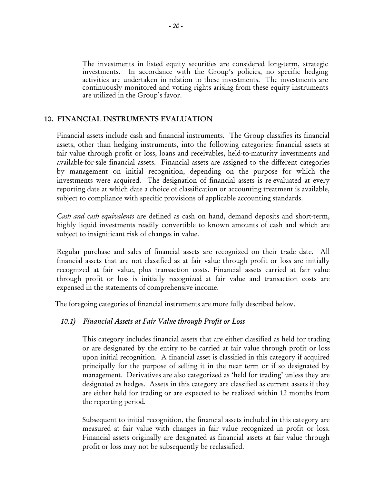The investments in listed equity securities are considered long-term, strategic investments. In accordance with the Group's policies, no specific hedging activities are undertaken in relation to these investments. The investments are continuously monitored and voting rights arising from these equity instruments are utilized in the Group's favor.

# 10. FINANCIAL INSTRUMENTS EVALUATION

Financial assets include cash and financial instruments. The Group classifies its financial assets, other than hedging instruments, into the following categories: financial assets at fair value through profit or loss, loans and receivables, held-to-maturity investments and available-for-sale financial assets. Financial assets are assigned to the different categories by management on initial recognition, depending on the purpose for which the investments were acquired. The designation of financial assets is re-evaluated at every reporting date at which date a choice of classification or accounting treatment is available, subject to compliance with specific provisions of applicable accounting standards.

Cash and cash equivalents are defined as cash on hand, demand deposits and short-term, highly liquid investments readily convertible to known amounts of cash and which are subject to insignificant risk of changes in value.

Regular purchase and sales of financial assets are recognized on their trade date. All financial assets that are not classified as at fair value through profit or loss are initially recognized at fair value, plus transaction costs. Financial assets carried at fair value through profit or loss is initially recognized at fair value and transaction costs are expensed in the statements of comprehensive income.

The foregoing categories of financial instruments are more fully described below.

# 10.1) Financial Assets at Fair Value through Profit or Loss

 This category includes financial assets that are either classified as held for trading or are designated by the entity to be carried at fair value through profit or loss upon initial recognition. A financial asset is classified in this category if acquired principally for the purpose of selling it in the near term or if so designated by management. Derivatives are also categorized as 'held for trading' unless they are designated as hedges. Assets in this category are classified as current assets if they are either held for trading or are expected to be realized within 12 months from the reporting period.

 Subsequent to initial recognition, the financial assets included in this category are measured at fair value with changes in fair value recognized in profit or loss. Financial assets originally are designated as financial assets at fair value through profit or loss may not be subsequently be reclassified.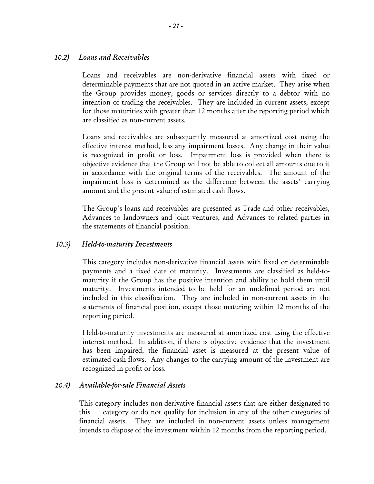# 10.2) Loans and Receivables

Loans and receivables are non-derivative financial assets with fixed or determinable payments that are not quoted in an active market. They arise when the Group provides money, goods or services directly to a debtor with no intention of trading the receivables. They are included in current assets, except for those maturities with greater than 12 months after the reporting period which are classified as non-current assets.

 Loans and receivables are subsequently measured at amortized cost using the effective interest method, less any impairment losses. Any change in their value is recognized in profit or loss. Impairment loss is provided when there is objective evidence that the Group will not be able to collect all amounts due to it in accordance with the original terms of the receivables. The amount of the impairment loss is determined as the difference between the assets' carrying amount and the present value of estimated cash flows.

 The Group's loans and receivables are presented as Trade and other receivables, Advances to landowners and joint ventures, and Advances to related parties in the statements of financial position.

# 10.3) Held-to-maturity Investments

This category includes non-derivative financial assets with fixed or determinable payments and a fixed date of maturity. Investments are classified as held-tomaturity if the Group has the positive intention and ability to hold them until maturity. Investments intended to be held for an undefined period are not included in this classification. They are included in non-current assets in the statements of financial position, except those maturing within 12 months of the reporting period.

 Held-to-maturity investments are measured at amortized cost using the effective interest method. In addition, if there is objective evidence that the investment has been impaired, the financial asset is measured at the present value of estimated cash flows. Any changes to the carrying amount of the investment are recognized in profit or loss.

# 10.4) Available-for-sale Financial Assets

This category includes non-derivative financial assets that are either designated to this category or do not qualify for inclusion in any of the other categories of financial assets. They are included in non-current assets unless management intends to dispose of the investment within 12 months from the reporting period.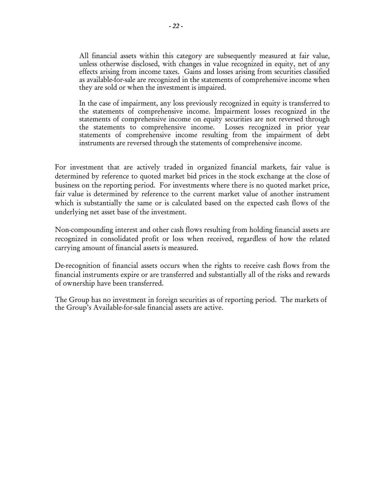All financial assets within this category are subsequently measured at fair value, unless otherwise disclosed, with changes in value recognized in equity, net of any effects arising from income taxes. Gains and losses arising from securities classified as available-for-sale are recognized in the statements of comprehensive income when they are sold or when the investment is impaired.

 In the case of impairment, any loss previously recognized in equity is transferred to the statements of comprehensive income. Impairment losses recognized in the statements of comprehensive income on equity securities are not reversed through the statements to comprehensive income. Losses recognized in prior year statements of comprehensive income resulting from the impairment of debt instruments are reversed through the statements of comprehensive income.

For investment that are actively traded in organized financial markets, fair value is determined by reference to quoted market bid prices in the stock exchange at the close of business on the reporting period. For investments where there is no quoted market price, fair value is determined by reference to the current market value of another instrument which is substantially the same or is calculated based on the expected cash flows of the underlying net asset base of the investment.

Non-compounding interest and other cash flows resulting from holding financial assets are recognized in consolidated profit or loss when received, regardless of how the related carrying amount of financial assets is measured.

De-recognition of financial assets occurs when the rights to receive cash flows from the financial instruments expire or are transferred and substantially all of the risks and rewards of ownership have been transferred.

The Group has no investment in foreign securities as of reporting period. The markets of the Group's Available-for-sale financial assets are active.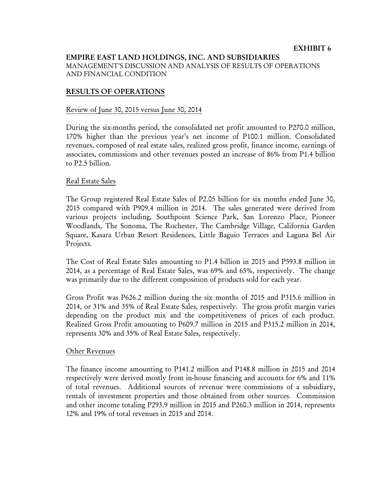# EMPIRE EAST LAND HOLDINGS, INC. AND SUBSIDIARIES MANAGEMENT'S DISCUSSION AND ANALYSIS OF RESULTS OF OPERATIONS AND FINANCIAL CONDITION

# RESULTS OF OPERATIONS

# Review of June 30, 2015 versus June 30, 2014

During the six-months period, the consolidated net profit amounted to P270.0 million, 170% higher than the previous year's net income of P100.1 million. Consolidated revenues, composed of real estate sales, realized gross profit, finance income, earnings of associates, commissions and other revenues posted an increase of 86% from P1.4 billion to P2.5 billion.

# Real Estate Sales

The Group registered Real Estate Sales of P2.05 billion for six months ended June 30, 2015 compared with P909.4 million in 2014. The sales generated were derived from various projects including, Southpoint Science Park, San Lorenzo Place, Pioneer Woodlands, The Sonoma, The Rochester, The Cambridge Village, California Garden Square, Kasara Urban Resort Residences, Little Baguio Terraces and Laguna Bel Air Projects.

The Cost of Real Estate Sales amounting to P1.4 billion in 2015 and P593.8 million in 2014, as a percentage of Real Estate Sales, was 69% and 65%, respectively. The change was primarily due to the different composition of products sold for each year.

Gross Profit was P626.2 million during the six months of 2015 and P315.6 million in 2014, or 31% and 35% of Real Estate Sales, respectively. The gross profit margin varies depending on the product mix and the competitiveness of prices of each product. Realized Gross Profit amounting to P609.7 million in 2015 and P315.2 million in 2014, represents 30% and 35% of Real Estate Sales, respectively.

# Other Revenues

The finance income amounting to P141.2 million and P148.8 million in 2015 and 2014 respectively were derived mostly from in-house financing and accounts for 6% and 11% of total revenues. Additional sources of revenue were commissions of a subsidiary, rentals of investment properties and those obtained from other sources. Commission and other income totaling P293.9 million in 2015 and P260.3 million in 2014, represents 12% and 19% of total revenues in 2015 and 2014.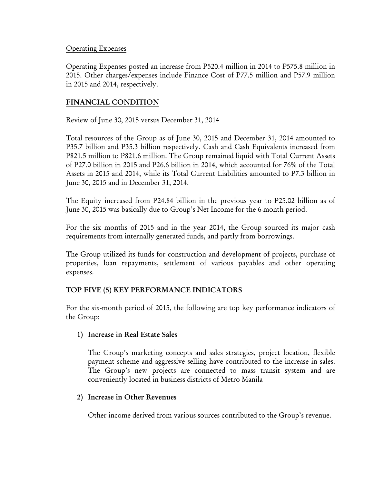# Operating Expenses

Operating Expenses posted an increase from P520.4 million in 2014 to P575.8 million in 2015. Other charges/expenses include Finance Cost of P77.5 million and P57.9 million in 2015 and 2014, respectively.

# FINANCIAL CONDITION

# Review of June 30, 2015 versus December 31, 2014

Total resources of the Group as of June 30, 2015 and December 31, 2014 amounted to P35.7 billion and P35.3 billion respectively. Cash and Cash Equivalents increased from P821.5 million to P821.6 million. The Group remained liquid with Total Current Assets of P27.0 billion in 2015 and P26.6 billion in 2014, which accounted for 76% of the Total Assets in 2015 and 2014, while its Total Current Liabilities amounted to P7.3 billion in June 30, 2015 and in December 31, 2014.

The Equity increased from P24.84 billion in the previous year to P25.02 billion as of June 30, 2015 was basically due to Group's Net Income for the 6-month period.

For the six months of 2015 and in the year 2014, the Group sourced its major cash requirements from internally generated funds, and partly from borrowings.

The Group utilized its funds for construction and development of projects, purchase of properties, loan repayments, settlement of various payables and other operating expenses.

# TOP FIVE (5) KEY PERFORMANCE INDICATORS

For the six-month period of 2015, the following are top key performance indicators of the Group:

# 1) Increase in Real Estate Sales

The Group's marketing concepts and sales strategies, project location, flexible payment scheme and aggressive selling have contributed to the increase in sales. The Group's new projects are connected to mass transit system and are conveniently located in business districts of Metro Manila

# 2) Increase in Other Revenues

Other income derived from various sources contributed to the Group's revenue.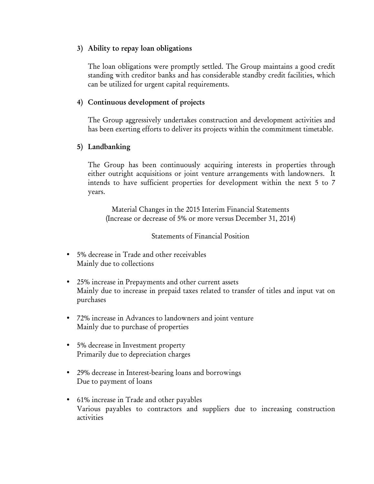# 3) Ability to repay loan obligations

The loan obligations were promptly settled. The Group maintains a good credit standing with creditor banks and has considerable standby credit facilities, which can be utilized for urgent capital requirements.

# 4) Continuous development of projects

The Group aggressively undertakes construction and development activities and has been exerting efforts to deliver its projects within the commitment timetable.

# 5) Landbanking

The Group has been continuously acquiring interests in properties through either outright acquisitions or joint venture arrangements with landowners. It intends to have sufficient properties for development within the next 5 to 7 years.

Material Changes in the 2015 Interim Financial Statements (Increase or decrease of 5% or more versus December 31, 2014)

# Statements of Financial Position

- 5% decrease in Trade and other receivables Mainly due to collections
- 25% increase in Prepayments and other current assets Mainly due to increase in prepaid taxes related to transfer of titles and input vat on purchases
- 72% increase in Advances to landowners and joint venture Mainly due to purchase of properties
- 5% decrease in Investment property Primarily due to depreciation charges
- 29% decrease in Interest-bearing loans and borrowings Due to payment of loans
- 61% increase in Trade and other payables Various payables to contractors and suppliers due to increasing construction activities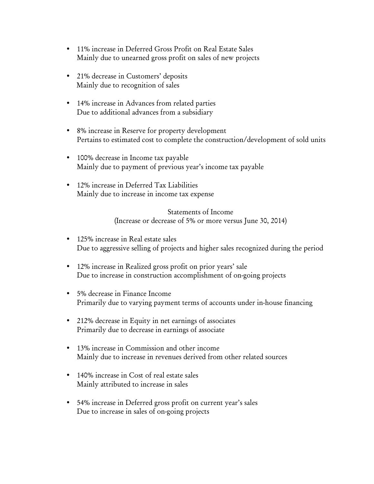- 11% increase in Deferred Gross Profit on Real Estate Sales Mainly due to unearned gross profit on sales of new projects
- 21% decrease in Customers' deposits Mainly due to recognition of sales
- 14% increase in Advances from related parties Due to additional advances from a subsidiary
- 8% increase in Reserve for property development Pertains to estimated cost to complete the construction/development of sold units
- 100% decrease in Income tax payable Mainly due to payment of previous year's income tax payable
- 12% increase in Deferred Tax Liabilities Mainly due to increase in income tax expense

Statements of Income (Increase or decrease of 5% or more versus June 30, 2014)

- 125% increase in Real estate sales Due to aggressive selling of projects and higher sales recognized during the period
- 12% increase in Realized gross profit on prior years' sale Due to increase in construction accomplishment of on-going projects
- 5% decrease in Finance Income Primarily due to varying payment terms of accounts under in-house financing
- 212% decrease in Equity in net earnings of associates Primarily due to decrease in earnings of associate
- 13% increase in Commission and other income Mainly due to increase in revenues derived from other related sources
- 140% increase in Cost of real estate sales Mainly attributed to increase in sales
- 54% increase in Deferred gross profit on current year's sales Due to increase in sales of on-going projects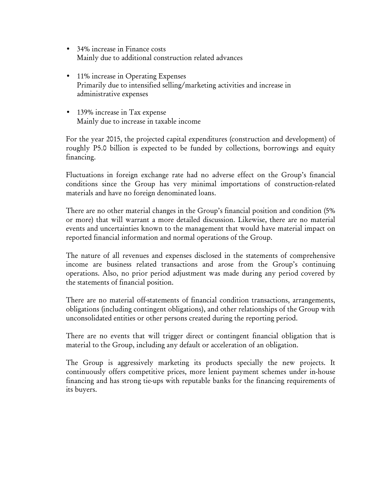- 34% increase in Finance costs Mainly due to additional construction related advances
- 11% increase in Operating Expenses Primarily due to intensified selling/marketing activities and increase in administrative expenses
- 139% increase in Tax expense Mainly due to increase in taxable income

For the year 2015, the projected capital expenditures (construction and development) of roughly P5.0 billion is expected to be funded by collections, borrowings and equity financing.

Fluctuations in foreign exchange rate had no adverse effect on the Group's financial conditions since the Group has very minimal importations of construction-related materials and have no foreign denominated loans.

There are no other material changes in the Group's financial position and condition (5% or more) that will warrant a more detailed discussion. Likewise, there are no material events and uncertainties known to the management that would have material impact on reported financial information and normal operations of the Group.

The nature of all revenues and expenses disclosed in the statements of comprehensive income are business related transactions and arose from the Group's continuing operations. Also, no prior period adjustment was made during any period covered by the statements of financial position.

There are no material off-statements of financial condition transactions, arrangements, obligations (including contingent obligations), and other relationships of the Group with unconsolidated entities or other persons created during the reporting period.

There are no events that will trigger direct or contingent financial obligation that is material to the Group, including any default or acceleration of an obligation.

The Group is aggressively marketing its products specially the new projects. It continuously offers competitive prices, more lenient payment schemes under in-house financing and has strong tie-ups with reputable banks for the financing requirements of its buyers.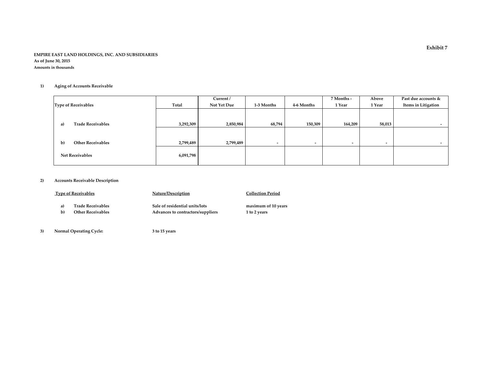#### EMPIRE EAST LAND HOLDINGS, INC. AND SUBSIDIARIESAs of June 30, 2015Amounts in thousands

#### 1)Aging of Accounts Receivable

|                                          |           | Current /   |                          |                          | 7 Months -               | Above  | Past due accounts & |
|------------------------------------------|-----------|-------------|--------------------------|--------------------------|--------------------------|--------|---------------------|
| <b>Type of Receivables</b>               | Total     | Not Yet Due | 1-3 Months               | 4-6 Months               | 1 Year                   | 1 Year | Items in Litigation |
|                                          |           |             |                          |                          |                          |        |                     |
| <b>Trade Receivables</b><br>a)           | 3,292,309 | 2,850,984   | 68,794                   | 150,309                  | 164,209                  | 58,013 | $\sim$              |
|                                          |           |             |                          |                          |                          |        |                     |
| <b>Other Receivables</b><br>$\mathbf{b}$ | 2,799,489 | 2,799,489   | $\overline{\phantom{a}}$ | $\overline{\phantom{a}}$ | $\overline{\phantom{a}}$ |        |                     |
| <b>Net Receivables</b>                   | 6,091,798 |             |                          |                          |                          |        |                     |

#### 2)Accounts Receivable Description

|    | <b>Type of Receivables</b> | <b>Nature/Description</b>         | <b>Collection Period</b> |
|----|----------------------------|-----------------------------------|--------------------------|
| a) | <b>Trade Receivables</b>   | Sale of residential units/lots    | maximum of 10 years      |
| b) | <b>Other Receivables</b>   | Advances to contractors/suppliers | 1 to 2 years             |
|    |                            |                                   |                          |

 3)Normal Operating Cycle: 3 to 15 years